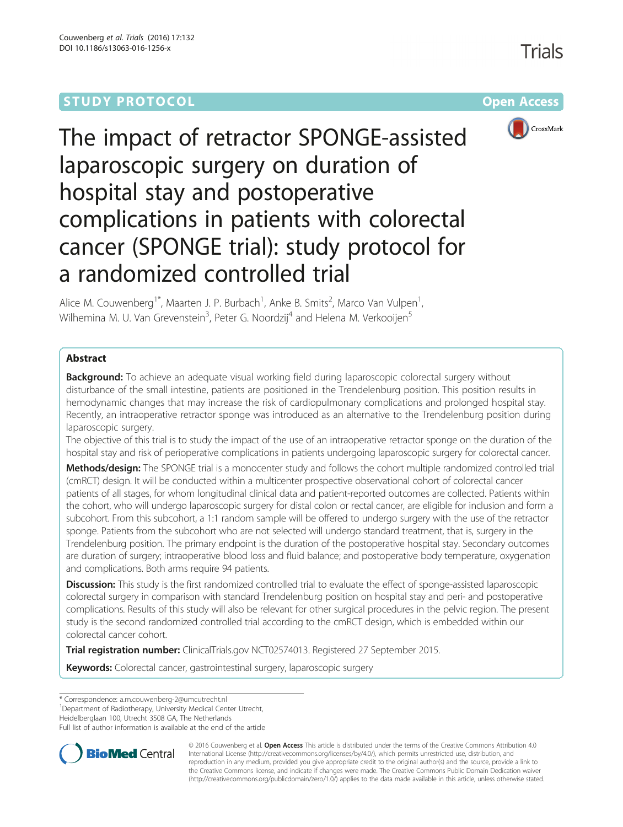## **STUDY PROTOCOL CONSUMING THE RESERVE ACCESS**



# The impact of retractor SPONGE-assisted laparoscopic surgery on duration of hospital stay and postoperative complications in patients with colorectal cancer (SPONGE trial): study protocol for a randomized controlled trial

Alice M. Couwenberg<sup>1\*</sup>, Maarten J. P. Burbach<sup>1</sup>, Anke B. Smits<sup>2</sup>, Marco Van Vulpen<sup>1</sup> , Wilhemina M. U. Van Grevenstein<sup>3</sup>, Peter G. Noordzij<sup>4</sup> and Helena M. Verkooijen<sup>5</sup>

## Abstract

**Background:** To achieve an adequate visual working field during laparoscopic colorectal surgery without disturbance of the small intestine, patients are positioned in the Trendelenburg position. This position results in hemodynamic changes that may increase the risk of cardiopulmonary complications and prolonged hospital stay. Recently, an intraoperative retractor sponge was introduced as an alternative to the Trendelenburg position during laparoscopic surgery.

The objective of this trial is to study the impact of the use of an intraoperative retractor sponge on the duration of the hospital stay and risk of perioperative complications in patients undergoing laparoscopic surgery for colorectal cancer.

Methods/design: The SPONGE trial is a monocenter study and follows the cohort multiple randomized controlled trial (cmRCT) design. It will be conducted within a multicenter prospective observational cohort of colorectal cancer patients of all stages, for whom longitudinal clinical data and patient-reported outcomes are collected. Patients within the cohort, who will undergo laparoscopic surgery for distal colon or rectal cancer, are eligible for inclusion and form a subcohort. From this subcohort, a 1:1 random sample will be offered to undergo surgery with the use of the retractor sponge. Patients from the subcohort who are not selected will undergo standard treatment, that is, surgery in the Trendelenburg position. The primary endpoint is the duration of the postoperative hospital stay. Secondary outcomes are duration of surgery; intraoperative blood loss and fluid balance; and postoperative body temperature, oxygenation and complications. Both arms require 94 patients.

**Discussion:** This study is the first randomized controlled trial to evaluate the effect of sponge-assisted laparoscopic colorectal surgery in comparison with standard Trendelenburg position on hospital stay and peri- and postoperative complications. Results of this study will also be relevant for other surgical procedures in the pelvic region. The present study is the second randomized controlled trial according to the cmRCT design, which is embedded within our colorectal cancer cohort.

Trial registration number: ClinicalTrials.gov [NCT02574013.](https://www.clinicaltrials.gov/ct2/show/NCT02574013) Registered 27 September 2015.

Keywords: Colorectal cancer, gastrointestinal surgery, laparoscopic surgery

\* Correspondence: [a.m.couwenberg-2@umcutrecht.nl](mailto:a.m.couwenberg-2@umcutrecht.nl) <sup>1</sup>

<sup>1</sup>Department of Radiotherapy, University Medical Center Utrecht,

Heidelberglaan 100, Utrecht 3508 GA, The Netherlands

Full list of author information is available at the end of the article



© 2016 Couwenberg et al. Open Access This article is distributed under the terms of the Creative Commons Attribution 4.0 International License [\(http://creativecommons.org/licenses/by/4.0/](http://creativecommons.org/licenses/by/4.0/)), which permits unrestricted use, distribution, and reproduction in any medium, provided you give appropriate credit to the original author(s) and the source, provide a link to the Creative Commons license, and indicate if changes were made. The Creative Commons Public Domain Dedication waiver [\(http://creativecommons.org/publicdomain/zero/1.0/](http://creativecommons.org/publicdomain/zero/1.0/)) applies to the data made available in this article, unless otherwise stated.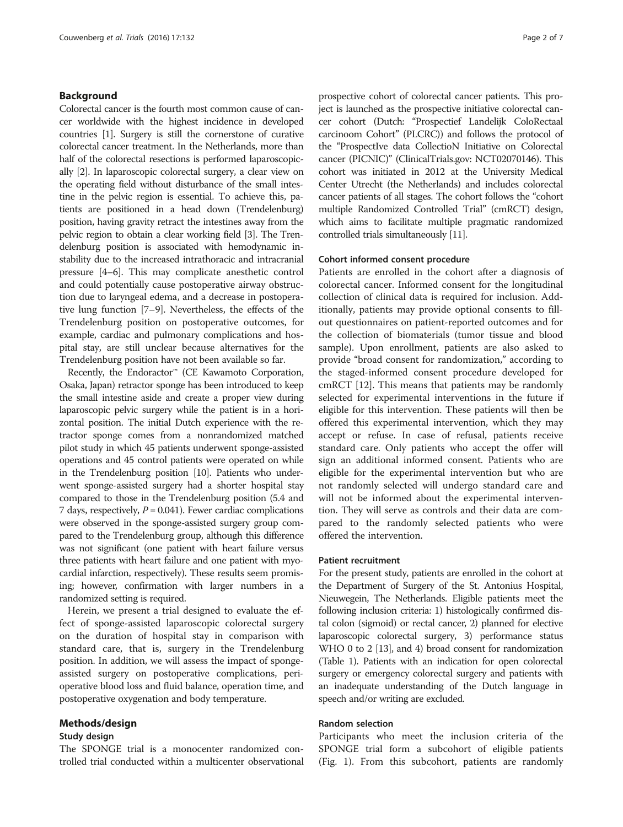#### Background

Colorectal cancer is the fourth most common cause of cancer worldwide with the highest incidence in developed countries [[1](#page-5-0)]. Surgery is still the cornerstone of curative colorectal cancer treatment. In the Netherlands, more than half of the colorectal resections is performed laparoscopically [\[2](#page-6-0)]. In laparoscopic colorectal surgery, a clear view on the operating field without disturbance of the small intestine in the pelvic region is essential. To achieve this, patients are positioned in a head down (Trendelenburg) position, having gravity retract the intestines away from the pelvic region to obtain a clear working field [[3](#page-6-0)]. The Trendelenburg position is associated with hemodynamic instability due to the increased intrathoracic and intracranial pressure [[4](#page-6-0)–[6\]](#page-6-0). This may complicate anesthetic control and could potentially cause postoperative airway obstruction due to laryngeal edema, and a decrease in postoperative lung function [[7](#page-6-0)–[9](#page-6-0)]. Nevertheless, the effects of the Trendelenburg position on postoperative outcomes, for example, cardiac and pulmonary complications and hospital stay, are still unclear because alternatives for the Trendelenburg position have not been available so far.

Recently, the Endoractor™ (CE Kawamoto Corporation, Osaka, Japan) retractor sponge has been introduced to keep the small intestine aside and create a proper view during laparoscopic pelvic surgery while the patient is in a horizontal position. The initial Dutch experience with the retractor sponge comes from a nonrandomized matched pilot study in which 45 patients underwent sponge-assisted operations and 45 control patients were operated on while in the Trendelenburg position [[10](#page-6-0)]. Patients who underwent sponge-assisted surgery had a shorter hospital stay compared to those in the Trendelenburg position (5.4 and 7 days, respectively,  $P = 0.041$ ). Fewer cardiac complications were observed in the sponge-assisted surgery group compared to the Trendelenburg group, although this difference was not significant (one patient with heart failure versus three patients with heart failure and one patient with myocardial infarction, respectively). These results seem promising; however, confirmation with larger numbers in a randomized setting is required.

Herein, we present a trial designed to evaluate the effect of sponge-assisted laparoscopic colorectal surgery on the duration of hospital stay in comparison with standard care, that is, surgery in the Trendelenburg position. In addition, we will assess the impact of spongeassisted surgery on postoperative complications, perioperative blood loss and fluid balance, operation time, and postoperative oxygenation and body temperature.

#### Methods/design

#### Study design

The SPONGE trial is a monocenter randomized controlled trial conducted within a multicenter observational

prospective cohort of colorectal cancer patients. This project is launched as the prospective initiative colorectal cancer cohort (Dutch: "Prospectief Landelijk ColoRectaal carcinoom Cohort" (PLCRC)) and follows the protocol of the "ProspectIve data CollectioN Initiative on Colorectal cancer (PICNIC)" (ClinicalTrials.gov: NCT02070146). This cohort was initiated in 2012 at the University Medical Center Utrecht (the Netherlands) and includes colorectal cancer patients of all stages. The cohort follows the "cohort multiple Randomized Controlled Trial" (cmRCT) design, which aims to facilitate multiple pragmatic randomized controlled trials simultaneously [[11](#page-6-0)].

#### Cohort informed consent procedure

Patients are enrolled in the cohort after a diagnosis of colorectal cancer. Informed consent for the longitudinal collection of clinical data is required for inclusion. Additionally, patients may provide optional consents to fillout questionnaires on patient-reported outcomes and for the collection of biomaterials (tumor tissue and blood sample). Upon enrollment, patients are also asked to provide "broad consent for randomization," according to the staged-informed consent procedure developed for cmRCT [\[12\]](#page-6-0). This means that patients may be randomly selected for experimental interventions in the future if eligible for this intervention. These patients will then be offered this experimental intervention, which they may accept or refuse. In case of refusal, patients receive standard care. Only patients who accept the offer will sign an additional informed consent. Patients who are eligible for the experimental intervention but who are not randomly selected will undergo standard care and will not be informed about the experimental intervention. They will serve as controls and their data are compared to the randomly selected patients who were offered the intervention.

#### Patient recruitment

For the present study, patients are enrolled in the cohort at the Department of Surgery of the St. Antonius Hospital, Nieuwegein, The Netherlands. Eligible patients meet the following inclusion criteria: 1) histologically confirmed distal colon (sigmoid) or rectal cancer, 2) planned for elective laparoscopic colorectal surgery, 3) performance status WHO 0 to 2 [\[13\]](#page-6-0), and 4) broad consent for randomization (Table [1](#page-2-0)). Patients with an indication for open colorectal surgery or emergency colorectal surgery and patients with an inadequate understanding of the Dutch language in speech and/or writing are excluded.

#### Random selection

Participants who meet the inclusion criteria of the SPONGE trial form a subcohort of eligible patients (Fig. [1](#page-2-0)). From this subcohort, patients are randomly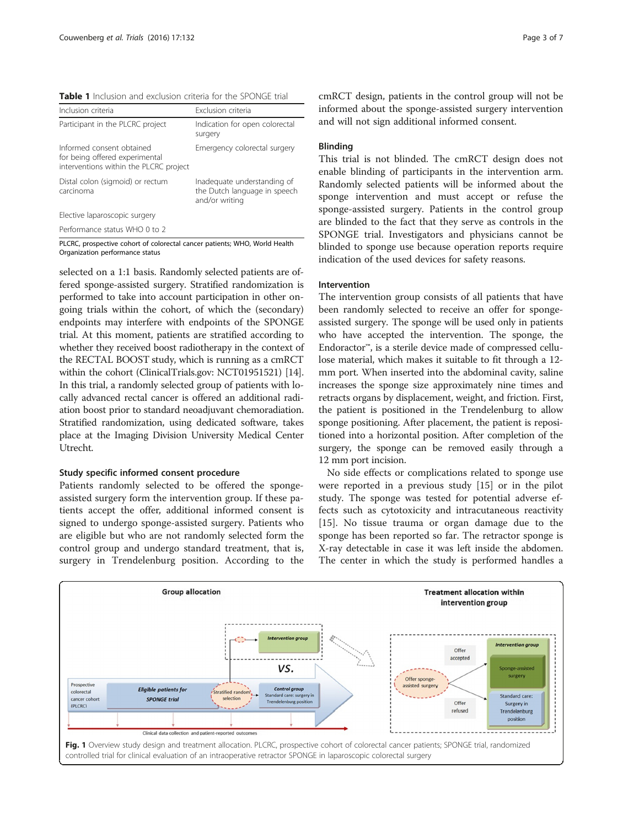<span id="page-2-0"></span>Table 1 Inclusion and exclusion criteria for the SPONGE trial

| Inclusion criteria                                                                                    | Exclusion criteria                                                            |
|-------------------------------------------------------------------------------------------------------|-------------------------------------------------------------------------------|
| Participant in the PLCRC project                                                                      | Indication for open colorectal<br>surgery                                     |
| Informed consent obtained<br>for being offered experimental<br>interventions within the PLCRC project | Emergency colorectal surgery                                                  |
| Distal colon (sigmoid) or rectum<br>carcinoma                                                         | Inadequate understanding of<br>the Dutch language in speech<br>and/or writing |
| Elective laparoscopic surgery                                                                         |                                                                               |
| Performance status WHO 0 to 2                                                                         |                                                                               |

PLCRC, prospective cohort of colorectal cancer patients; WHO, World Health Organization performance status

selected on a 1:1 basis. Randomly selected patients are offered sponge-assisted surgery. Stratified randomization is performed to take into account participation in other ongoing trials within the cohort, of which the (secondary) endpoints may interfere with endpoints of the SPONGE trial. At this moment, patients are stratified according to whether they received boost radiotherapy in the context of the RECTAL BOOST study, which is running as a cmRCT within the cohort (ClinicalTrials.gov: NCT01951521) [[14](#page-6-0)]. In this trial, a randomly selected group of patients with locally advanced rectal cancer is offered an additional radiation boost prior to standard neoadjuvant chemoradiation. Stratified randomization, using dedicated software, takes place at the Imaging Division University Medical Center Utrecht.

#### Study specific informed consent procedure

Patients randomly selected to be offered the spongeassisted surgery form the intervention group. If these patients accept the offer, additional informed consent is signed to undergo sponge-assisted surgery. Patients who are eligible but who are not randomly selected form the control group and undergo standard treatment, that is, surgery in Trendelenburg position. According to the cmRCT design, patients in the control group will not be informed about the sponge-assisted surgery intervention and will not sign additional informed consent.

#### Blinding

This trial is not blinded. The cmRCT design does not enable blinding of participants in the intervention arm. Randomly selected patients will be informed about the sponge intervention and must accept or refuse the sponge-assisted surgery. Patients in the control group are blinded to the fact that they serve as controls in the SPONGE trial. Investigators and physicians cannot be blinded to sponge use because operation reports require indication of the used devices for safety reasons.

#### Intervention

The intervention group consists of all patients that have been randomly selected to receive an offer for spongeassisted surgery. The sponge will be used only in patients who have accepted the intervention. The sponge, the Endoractor™, is a sterile device made of compressed cellulose material, which makes it suitable to fit through a 12 mm port. When inserted into the abdominal cavity, saline increases the sponge size approximately nine times and retracts organs by displacement, weight, and friction. First, the patient is positioned in the Trendelenburg to allow sponge positioning. After placement, the patient is repositioned into a horizontal position. After completion of the surgery, the sponge can be removed easily through a 12 mm port incision.

No side effects or complications related to sponge use were reported in a previous study [[15\]](#page-6-0) or in the pilot study. The sponge was tested for potential adverse effects such as cytotoxicity and intracutaneous reactivity [[15\]](#page-6-0). No tissue trauma or organ damage due to the sponge has been reported so far. The retractor sponge is X-ray detectable in case it was left inside the abdomen. The center in which the study is performed handles a

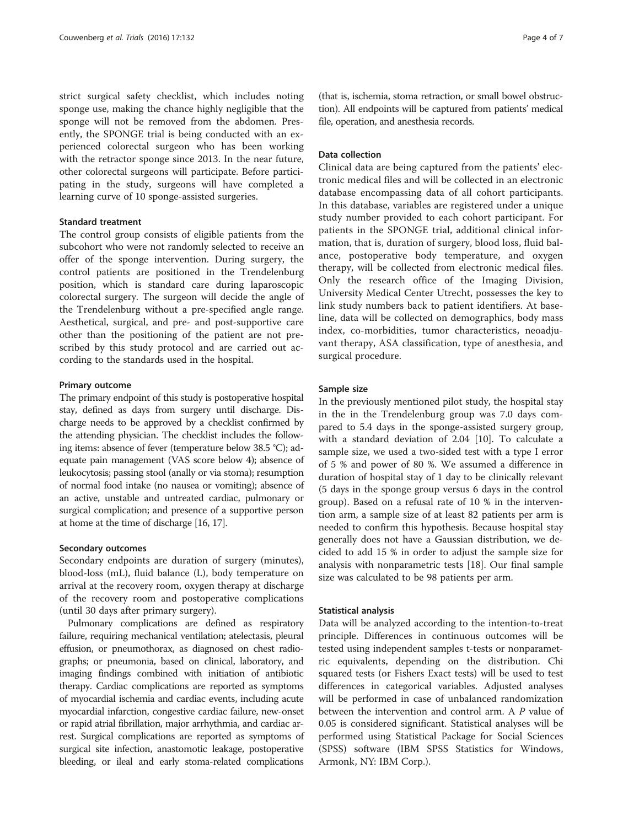strict surgical safety checklist, which includes noting sponge use, making the chance highly negligible that the sponge will not be removed from the abdomen. Presently, the SPONGE trial is being conducted with an experienced colorectal surgeon who has been working with the retractor sponge since 2013. In the near future, other colorectal surgeons will participate. Before participating in the study, surgeons will have completed a learning curve of 10 sponge-assisted surgeries.

#### Standard treatment

The control group consists of eligible patients from the subcohort who were not randomly selected to receive an offer of the sponge intervention. During surgery, the control patients are positioned in the Trendelenburg position, which is standard care during laparoscopic colorectal surgery. The surgeon will decide the angle of the Trendelenburg without a pre-specified angle range. Aesthetical, surgical, and pre- and post-supportive care other than the positioning of the patient are not prescribed by this study protocol and are carried out according to the standards used in the hospital.

#### Primary outcome

The primary endpoint of this study is postoperative hospital stay, defined as days from surgery until discharge. Discharge needs to be approved by a checklist confirmed by the attending physician. The checklist includes the following items: absence of fever (temperature below 38.5 °C); adequate pain management (VAS score below 4); absence of leukocytosis; passing stool (anally or via stoma); resumption of normal food intake (no nausea or vomiting); absence of an active, unstable and untreated cardiac, pulmonary or surgical complication; and presence of a supportive person at home at the time of discharge [\[16](#page-6-0), [17](#page-6-0)].

#### Secondary outcomes

Secondary endpoints are duration of surgery (minutes), blood-loss (mL), fluid balance (L), body temperature on arrival at the recovery room, oxygen therapy at discharge of the recovery room and postoperative complications (until 30 days after primary surgery).

Pulmonary complications are defined as respiratory failure, requiring mechanical ventilation; atelectasis, pleural effusion, or pneumothorax, as diagnosed on chest radiographs; or pneumonia, based on clinical, laboratory, and imaging findings combined with initiation of antibiotic therapy. Cardiac complications are reported as symptoms of myocardial ischemia and cardiac events, including acute myocardial infarction, congestive cardiac failure, new-onset or rapid atrial fibrillation, major arrhythmia, and cardiac arrest. Surgical complications are reported as symptoms of surgical site infection, anastomotic leakage, postoperative bleeding, or ileal and early stoma-related complications

(that is, ischemia, stoma retraction, or small bowel obstruction). All endpoints will be captured from patients' medical file, operation, and anesthesia records.

#### Data collection

Clinical data are being captured from the patients' electronic medical files and will be collected in an electronic database encompassing data of all cohort participants. In this database, variables are registered under a unique study number provided to each cohort participant. For patients in the SPONGE trial, additional clinical information, that is, duration of surgery, blood loss, fluid balance, postoperative body temperature, and oxygen therapy, will be collected from electronic medical files. Only the research office of the Imaging Division, University Medical Center Utrecht, possesses the key to link study numbers back to patient identifiers. At baseline, data will be collected on demographics, body mass index, co-morbidities, tumor characteristics, neoadjuvant therapy, ASA classification, type of anesthesia, and surgical procedure.

#### Sample size

In the previously mentioned pilot study, the hospital stay in the in the Trendelenburg group was 7.0 days compared to 5.4 days in the sponge-assisted surgery group, with a standard deviation of 2.04 [\[10\]](#page-6-0). To calculate a sample size, we used a two-sided test with a type I error of 5 % and power of 80 %. We assumed a difference in duration of hospital stay of 1 day to be clinically relevant (5 days in the sponge group versus 6 days in the control group). Based on a refusal rate of 10 % in the intervention arm, a sample size of at least 82 patients per arm is needed to confirm this hypothesis. Because hospital stay generally does not have a Gaussian distribution, we decided to add 15 % in order to adjust the sample size for analysis with nonparametric tests [[18\]](#page-6-0). Our final sample size was calculated to be 98 patients per arm.

#### Statistical analysis

Data will be analyzed according to the intention-to-treat principle. Differences in continuous outcomes will be tested using independent samples t-tests or nonparametric equivalents, depending on the distribution. Chi squared tests (or Fishers Exact tests) will be used to test differences in categorical variables. Adjusted analyses will be performed in case of unbalanced randomization between the intervention and control arm. A P value of 0.05 is considered significant. Statistical analyses will be performed using Statistical Package for Social Sciences (SPSS) software (IBM SPSS Statistics for Windows, Armonk, NY: IBM Corp.).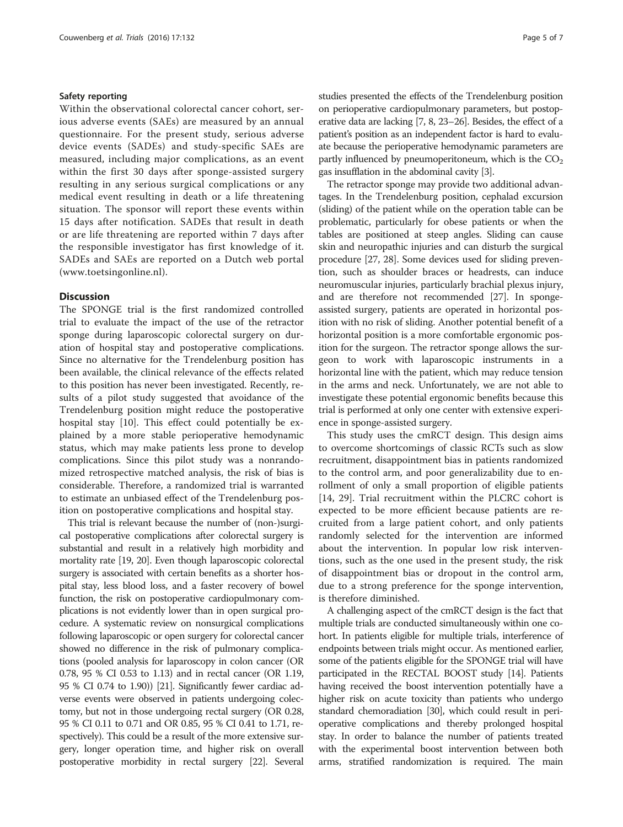#### Safety reporting

Within the observational colorectal cancer cohort, serious adverse events (SAEs) are measured by an annual questionnaire. For the present study, serious adverse device events (SADEs) and study-specific SAEs are measured, including major complications, as an event within the first 30 days after sponge-assisted surgery resulting in any serious surgical complications or any medical event resulting in death or a life threatening situation. The sponsor will report these events within 15 days after notification. SADEs that result in death or are life threatening are reported within 7 days after the responsible investigator has first knowledge of it. SADEs and SAEs are reported on a Dutch web portal ([www.toetsingonline.nl\)](http://www.toetsingonline.nl/).

#### **Discussion**

The SPONGE trial is the first randomized controlled trial to evaluate the impact of the use of the retractor sponge during laparoscopic colorectal surgery on duration of hospital stay and postoperative complications. Since no alternative for the Trendelenburg position has been available, the clinical relevance of the effects related to this position has never been investigated. Recently, results of a pilot study suggested that avoidance of the Trendelenburg position might reduce the postoperative hospital stay [[10](#page-6-0)]. This effect could potentially be explained by a more stable perioperative hemodynamic status, which may make patients less prone to develop complications. Since this pilot study was a nonrandomized retrospective matched analysis, the risk of bias is considerable. Therefore, a randomized trial is warranted to estimate an unbiased effect of the Trendelenburg position on postoperative complications and hospital stay.

This trial is relevant because the number of (non-)surgical postoperative complications after colorectal surgery is substantial and result in a relatively high morbidity and mortality rate [\[19, 20](#page-6-0)]. Even though laparoscopic colorectal surgery is associated with certain benefits as a shorter hospital stay, less blood loss, and a faster recovery of bowel function, the risk on postoperative cardiopulmonary complications is not evidently lower than in open surgical procedure. A systematic review on nonsurgical complications following laparoscopic or open surgery for colorectal cancer showed no difference in the risk of pulmonary complications (pooled analysis for laparoscopy in colon cancer (OR 0.78, 95 % CI 0.53 to 1.13) and in rectal cancer (OR 1.19, 95 % CI 0.74 to 1.90)) [[21](#page-6-0)]. Significantly fewer cardiac adverse events were observed in patients undergoing colectomy, but not in those undergoing rectal surgery (OR 0.28, 95 % CI 0.11 to 0.71 and OR 0.85, 95 % CI 0.41 to 1.71, respectively). This could be a result of the more extensive surgery, longer operation time, and higher risk on overall postoperative morbidity in rectal surgery [[22](#page-6-0)]. Several studies presented the effects of the Trendelenburg position on perioperative cardiopulmonary parameters, but postoperative data are lacking [\[7](#page-6-0), [8](#page-6-0), [23](#page-6-0)–[26\]](#page-6-0). Besides, the effect of a patient's position as an independent factor is hard to evaluate because the perioperative hemodynamic parameters are partly influenced by pneumoperitoneum, which is the  $CO<sub>2</sub>$ gas insufflation in the abdominal cavity [\[3\]](#page-6-0).

The retractor sponge may provide two additional advantages. In the Trendelenburg position, cephalad excursion (sliding) of the patient while on the operation table can be problematic, particularly for obese patients or when the tables are positioned at steep angles. Sliding can cause skin and neuropathic injuries and can disturb the surgical procedure [[27](#page-6-0), [28](#page-6-0)]. Some devices used for sliding prevention, such as shoulder braces or headrests, can induce neuromuscular injuries, particularly brachial plexus injury, and are therefore not recommended [[27](#page-6-0)]. In spongeassisted surgery, patients are operated in horizontal position with no risk of sliding. Another potential benefit of a horizontal position is a more comfortable ergonomic position for the surgeon. The retractor sponge allows the surgeon to work with laparoscopic instruments in a horizontal line with the patient, which may reduce tension in the arms and neck. Unfortunately, we are not able to investigate these potential ergonomic benefits because this trial is performed at only one center with extensive experience in sponge-assisted surgery.

This study uses the cmRCT design. This design aims to overcome shortcomings of classic RCTs such as slow recruitment, disappointment bias in patients randomized to the control arm, and poor generalizability due to enrollment of only a small proportion of eligible patients [[14, 29\]](#page-6-0). Trial recruitment within the PLCRC cohort is expected to be more efficient because patients are recruited from a large patient cohort, and only patients randomly selected for the intervention are informed about the intervention. In popular low risk interventions, such as the one used in the present study, the risk of disappointment bias or dropout in the control arm, due to a strong preference for the sponge intervention, is therefore diminished.

A challenging aspect of the cmRCT design is the fact that multiple trials are conducted simultaneously within one cohort. In patients eligible for multiple trials, interference of endpoints between trials might occur. As mentioned earlier, some of the patients eligible for the SPONGE trial will have participated in the RECTAL BOOST study [\[14\]](#page-6-0). Patients having received the boost intervention potentially have a higher risk on acute toxicity than patients who undergo standard chemoradiation [[30](#page-6-0)], which could result in perioperative complications and thereby prolonged hospital stay. In order to balance the number of patients treated with the experimental boost intervention between both arms, stratified randomization is required. The main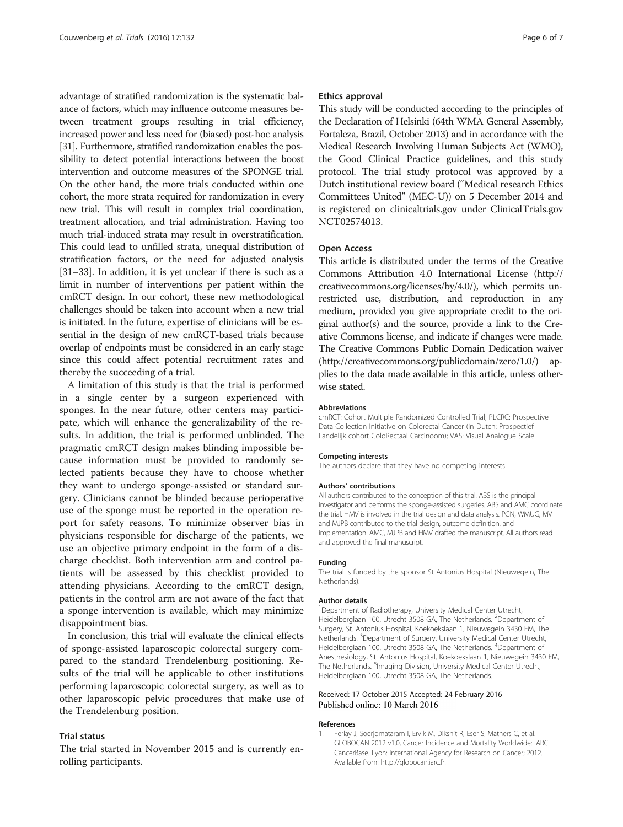<span id="page-5-0"></span>advantage of stratified randomization is the systematic balance of factors, which may influence outcome measures between treatment groups resulting in trial efficiency, increased power and less need for (biased) post-hoc analysis [[31](#page-6-0)]. Furthermore, stratified randomization enables the possibility to detect potential interactions between the boost intervention and outcome measures of the SPONGE trial. On the other hand, the more trials conducted within one cohort, the more strata required for randomization in every new trial. This will result in complex trial coordination, treatment allocation, and trial administration. Having too much trial-induced strata may result in overstratification. This could lead to unfilled strata, unequal distribution of stratification factors, or the need for adjusted analysis [[31](#page-6-0)–[33\]](#page-6-0). In addition, it is yet unclear if there is such as a limit in number of interventions per patient within the cmRCT design. In our cohort, these new methodological challenges should be taken into account when a new trial is initiated. In the future, expertise of clinicians will be essential in the design of new cmRCT-based trials because overlap of endpoints must be considered in an early stage since this could affect potential recruitment rates and thereby the succeeding of a trial.

A limitation of this study is that the trial is performed in a single center by a surgeon experienced with sponges. In the near future, other centers may participate, which will enhance the generalizability of the results. In addition, the trial is performed unblinded. The pragmatic cmRCT design makes blinding impossible because information must be provided to randomly selected patients because they have to choose whether they want to undergo sponge-assisted or standard surgery. Clinicians cannot be blinded because perioperative use of the sponge must be reported in the operation report for safety reasons. To minimize observer bias in physicians responsible for discharge of the patients, we use an objective primary endpoint in the form of a discharge checklist. Both intervention arm and control patients will be assessed by this checklist provided to attending physicians. According to the cmRCT design, patients in the control arm are not aware of the fact that a sponge intervention is available, which may minimize disappointment bias.

In conclusion, this trial will evaluate the clinical effects of sponge-assisted laparoscopic colorectal surgery compared to the standard Trendelenburg positioning. Results of the trial will be applicable to other institutions performing laparoscopic colorectal surgery, as well as to other laparoscopic pelvic procedures that make use of the Trendelenburg position.

#### Trial status

The trial started in November 2015 and is currently enrolling participants.

#### Ethics approval

This study will be conducted according to the principles of the Declaration of Helsinki (64th WMA General Assembly, Fortaleza, Brazil, October 2013) and in accordance with the Medical Research Involving Human Subjects Act (WMO), the Good Clinical Practice guidelines, and this study protocol. The trial study protocol was approved by a Dutch institutional review board ("Medical research Ethics Committees United" (MEC-U)) on 5 December 2014 and is registered on clinicaltrials.gov under ClinicalTrials.gov NCT02574013.

#### Open Access

This article is distributed under the terms of the Creative Commons Attribution 4.0 International License ([http://](http://creativecommons.org/licenses/by/4.0/) [creativecommons.org/licenses/by/4.0/](http://creativecommons.org/licenses/by/4.0/)), which permits unrestricted use, distribution, and reproduction in any medium, provided you give appropriate credit to the original author(s) and the source, provide a link to the Creative Commons license, and indicate if changes were made. The Creative Commons Public Domain Dedication waiver ([http://creativecommons.org/publicdomain/zero/1.0/\)](http://creativecommons.org/publicdomain/zero/1.0/) applies to the data made available in this article, unless otherwise stated.

#### Abbreviations

cmRCT: Cohort Multiple Randomized Controlled Trial; PLCRC: Prospective Data Collection Initiative on Colorectal Cancer (in Dutch: Prospectief Landelijk cohort ColoRectaal Carcinoom); VAS: Visual Analogue Scale.

#### Competing interests

The authors declare that they have no competing interests.

#### Authors' contributions

All authors contributed to the conception of this trial. ABS is the principal investigator and performs the sponge-assisted surgeries. ABS and AMC coordinate the trial. HMV is involved in the trial design and data analysis. PGN, WMUG, MV and MJPB contributed to the trial design, outcome definition, and implementation. AMC, MJPB and HMV drafted the manuscript. All authors read and approved the final manuscript.

#### Funding

The trial is funded by the sponsor St Antonius Hospital (Nieuwegein, The Netherlands).

#### Author details

<sup>1</sup> Department of Radiotherapy, University Medical Center Utrecht, Heidelberglaan 100, Utrecht 3508 GA, The Netherlands. <sup>2</sup>Department of Surgery, St. Antonius Hospital, Koekoekslaan 1, Nieuwegein 3430 EM, The Netherlands. <sup>3</sup>Department of Surgery, University Medical Center Utrecht, Heidelberglaan 100, Utrecht 3508 GA, The Netherlands. <sup>4</sup>Department of Anesthesiology, St. Antonius Hospital, Koekoekslaan 1, Nieuwegein 3430 EM, The Netherlands. <sup>5</sup>Imaging Division, University Medical Center Utrecht, Heidelberglaan 100, Utrecht 3508 GA, The Netherlands.

#### Received: 17 October 2015 Accepted: 24 February 2016 Published online: 10 March 2016

#### References

1. Ferlay J, Soerjomataram I, Ervik M, Dikshit R, Eser S, Mathers C, et al. GLOBOCAN 2012 v1.0, Cancer Incidence and Mortality Worldwide: IARC CancerBase. Lyon: International Agency for Research on Cancer; 2012. Available from: [http://globocan.iarc.fr](http://globocan.iarc.fr/).